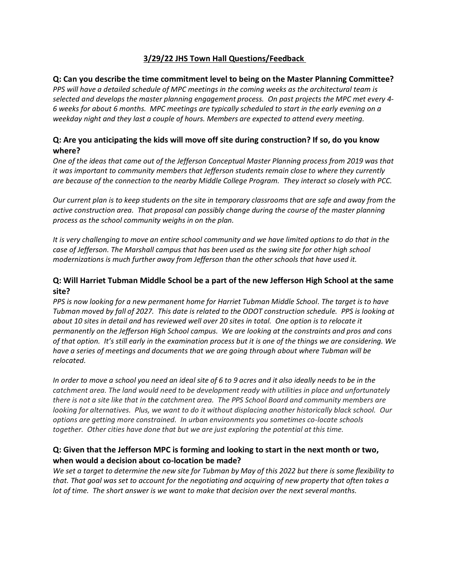# **3/29/22 JHS Town Hall Questions/Feedback**

#### **Q: Can you describe the time commitment level to being on the Master Planning Committee?**

*PPS will have a detailed schedule of MPC meetings in the coming weeks as the architectural team is selected and develops the master planning engagement process. On past projects the MPC met every 4- 6 weeks for about 6 months. MPC meetings are typically scheduled to start in the early evening on a weekday night and they last a couple of hours. Members are expected to attend every meeting.*

#### **Q: Are you anticipating the kids will move off site during construction? If so, do you know where?**

*One of the ideas that came out of the Jefferson Conceptual Master Planning process from 2019 was that it was important to community members that Jefferson students remain close to where they currently are because of the connection to the nearby Middle College Program. They interact so closely with PCC.*

*Our current plan is to keep students on the site in temporary classrooms that are safe and away from the active construction area. That proposal can possibly change during the course of the master planning process as the school community weighs in on the plan.*

*It is very challenging to move an entire school community and we have limited options to do that in the case of Jefferson. The Marshall campus that has been used as the swing site for other high school modernizations is much further away from Jefferson than the other schools that have used it.*

## **Q: Will Harriet Tubman Middle School be a part of the new Jefferson High School at the same site?**

*PPS is now looking for a new permanent home for Harriet Tubman Middle School. The target is to have Tubman moved by fall of 2027. This date is related to the ODOT construction schedule. PPS is looking at about 10 sites in detail and has reviewed well over 20 sites in total. One option is to relocate it permanently on the Jefferson High School campus. We are looking at the constraints and pros and cons of that option. It's still early in the examination process but it is one of the things we are considering. We have a series of meetings and documents that we are going through about where Tubman will be relocated.* 

*In order to move a school you need an ideal site of 6 to 9 acres and it also ideally needs to be in the catchment area. The land would need to be development ready with utilities in place and unfortunately there is not a site like that in the catchment area. The PPS School Board and community members are looking for alternatives. Plus, we want to do it without displacing another historically black school. Our options are getting more constrained. In urban environments you sometimes co-locate schools together. Other cities have done that but we are just exploring the potential at this time.* 

## **Q: Given that the Jefferson MPC is forming and looking to start in the next month or two, when would a decision about co-location be made?**

*We set a target to determine the new site for Tubman by May of this 2022 but there is some flexibility to that. That goal was set to account for the negotiating and acquiring of new property that often takes a lot of time. The short answer is we want to make that decision over the next several months.*